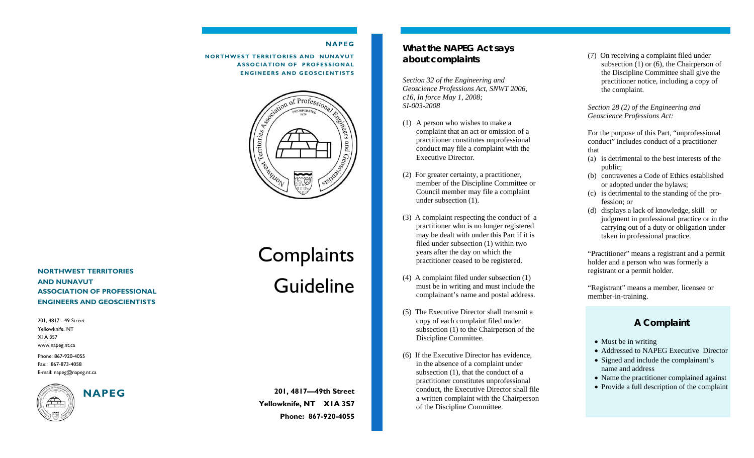#### **NAPEG**

**NORTHWEST TERRITORIES AND NUNAVUT ASSOCIATION OF PROFESSIONAL ENGINEERS AND GEOSCIENTISTS** 



**NORTHWEST TERRITORIES AND NUNAVUT ASSOCIATION OF PROFESSIONAL ENGINEERS AND GEOSCIENTISTS** 

Phone: 867-920-4055 Fax:: 867-873-4058 E-mail: napeg@napeg.nt.ca 201, 4817 - 49 Street Yellowknife, NT X1A 3S7 www.napeg.nt.ca



# Complaints Guideline

**201, 4817—49th Street Yellowknife, NT X1A 3S7 Phone: 867-920-4055** 

### **What the NAPEG Act says about complaints**

*Section 32 of the Engineering and Geoscience Professions Act, SNWT 2006, c16, In force May 1, 2008; SI-003-2008* 

- (1) A person who wishes to make a complaint that an act or omission of a practitioner constitutes unprofessional conduct may file a complaint with the Executive Director.
- (2) For greater certainty, a practitioner, member of the Discipline Committee or Council member may file a complaint under subsection (1).
- (3) A complaint respecting the conduct of a practitioner who is no longer registered may be dealt with under this Part if it is filed under subsection (1) within two years after the day on which the practitioner ceased to be registered.
- (4) A complaint filed under subsection (1) must be in writing and must include the complainant's name and postal address.
- (5) The Executive Director shall transmit a copy of each complaint filed under subsection (1) to the Chairperson of the Discipline Committee.
- (6) If the Executive Director has evidence, in the absence of a complaint under subsection (1), that the conduct of a practitioner constitutes unprofessional conduct, the Executive Director shall file a written complaint with the Chairperson of the Discipline Committee.

(7) On receiving a complaint filed under subsection (1) or (6), the Chairperson of the Discipline Committee shall give the practitioner notice, including a copy of the complaint.

*Section 28 (2) of the Engineering and Geoscience Professions Act:* 

For the purpose of this Part, "unprofessional conduct" includes conduct of a practitioner that

- (a) is detrimental to the best interests of the public;
- (b) contravenes a Code of Ethics established or adopted under the bylaws;
- (c) is detrimental to the standing of the profession; or
- (d) displays a lack of knowledge, skill or judgment in professional practice or in the carrying out of a duty or obligation undertaken in professional practice.

"Practitioner" means a registrant and a permit holder and a person who was formerly a registrant or a permit holder.

"Registrant" means a member, licensee or member-in-training.

## **A Complaint**

- Must be in writing
- Addressed to NAPEG Executive Director
- Signed and include the complainant's name and address
- Name the practitioner complained against
- Provide a full description of the complaint